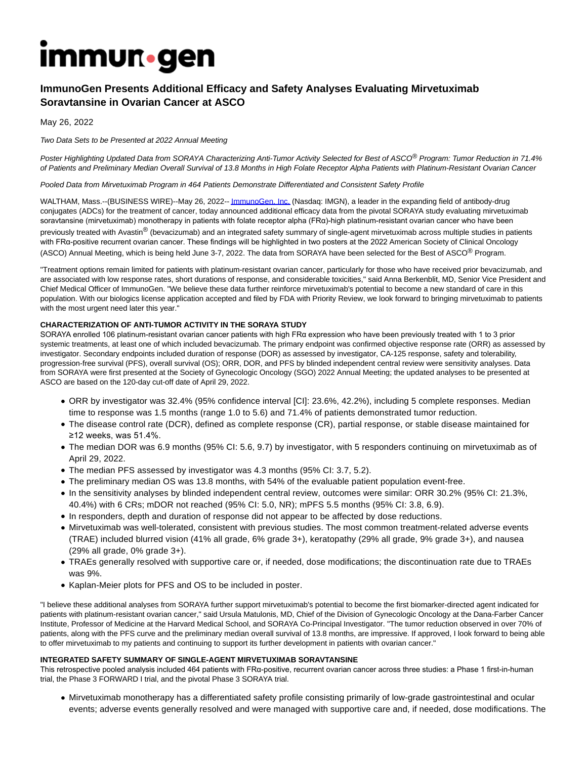# **Immun**.gen

# **ImmunoGen Presents Additional Efficacy and Safety Analyses Evaluating Mirvetuximab Soravtansine in Ovarian Cancer at ASCO**

May 26, 2022

### Two Data Sets to be Presented at 2022 Annual Meeting

Poster Highlighting Updated Data from SORAYA Characterizing Anti-Tumor Activity Selected for Best of ASCO® Program: Tumor Reduction in 71.4% of Patients and Preliminary Median Overall Survival of 13.8 Months in High Folate Receptor Alpha Patients with Platinum-Resistant Ovarian Cancer

Pooled Data from Mirvetuximab Program in 464 Patients Demonstrate Differentiated and Consistent Safety Profile

WALTHAM, Mass.--(BUSINESS WIRE)--May 26, 2022-[- ImmunoGen, Inc. \(](https://cts.businesswire.com/ct/CT?id=smartlink&url=http%3A%2F%2Fwww.immunogen.com&esheet=52732249&newsitemid=20220526005719&lan=en-US&anchor=ImmunoGen%2C+Inc.&index=1&md5=b50e4af95201f90c5310e6d22a0426e6)Nasdaq: IMGN), a leader in the expanding field of antibody-drug conjugates (ADCs) for the treatment of cancer, today announced additional efficacy data from the pivotal SORAYA study evaluating mirvetuximab soravtansine (mirvetuximab) monotherapy in patients with folate receptor alpha (FRα)-high platinum-resistant ovarian cancer who have been previously treated with Avastin® (bevacizumab) and an integrated safety summary of single-agent mirvetuximab across multiple studies in patients with FRa-positive recurrent ovarian cancer. These findings will be highlighted in two posters at the 2022 American Society of Clinical Oncology (ASCO) Annual Meeting, which is being held June 3-7, 2022. The data from SORAYA have been selected for the Best of ASCO® Program.

"Treatment options remain limited for patients with platinum-resistant ovarian cancer, particularly for those who have received prior bevacizumab, and are associated with low response rates, short durations of response, and considerable toxicities," said Anna Berkenblit, MD, Senior Vice President and Chief Medical Officer of ImmunoGen. "We believe these data further reinforce mirvetuximab's potential to become a new standard of care in this population. With our biologics license application accepted and filed by FDA with Priority Review, we look forward to bringing mirvetuximab to patients with the most urgent need later this year."

# **CHARACTERIZATION OF ANTI-TUMOR ACTIVITY IN THE SORAYA STUDY**

SORAYA enrolled 106 platinum-resistant ovarian cancer patients with high FRα expression who have been previously treated with 1 to 3 prior systemic treatments, at least one of which included bevacizumab. The primary endpoint was confirmed objective response rate (ORR) as assessed by investigator. Secondary endpoints included duration of response (DOR) as assessed by investigator, CA-125 response, safety and tolerability, progression-free survival (PFS), overall survival (OS); ORR, DOR, and PFS by blinded independent central review were sensitivity analyses. Data from SORAYA were first presented at the Society of Gynecologic Oncology (SGO) 2022 Annual Meeting; the updated analyses to be presented at ASCO are based on the 120-day cut-off date of April 29, 2022.

- ORR by investigator was 32.4% (95% confidence interval [CI]: 23.6%, 42.2%), including 5 complete responses. Median time to response was 1.5 months (range 1.0 to 5.6) and 71.4% of patients demonstrated tumor reduction.
- The disease control rate (DCR), defined as complete response (CR), partial response, or stable disease maintained for ≥12 weeks, was 51.4%.
- The median DOR was 6.9 months (95% CI: 5.6, 9.7) by investigator, with 5 responders continuing on mirvetuximab as of April 29, 2022.
- The median PFS assessed by investigator was 4.3 months (95% CI: 3.7, 5.2).
- The preliminary median OS was 13.8 months, with 54% of the evaluable patient population event-free.
- In the sensitivity analyses by blinded independent central review, outcomes were similar: ORR 30.2% (95% CI: 21.3%, 40.4%) with 6 CRs; mDOR not reached (95% CI: 5.0, NR); mPFS 5.5 months (95% CI: 3.8, 6.9).
- In responders, depth and duration of response did not appear to be affected by dose reductions.
- Mirvetuximab was well-tolerated, consistent with previous studies. The most common treatment-related adverse events (TRAE) included blurred vision (41% all grade, 6% grade 3+), keratopathy (29% all grade, 9% grade 3+), and nausea (29% all grade, 0% grade 3+).
- TRAEs generally resolved with supportive care or, if needed, dose modifications; the discontinuation rate due to TRAEs was 9%.
- Kaplan-Meier plots for PFS and OS to be included in poster.

"I believe these additional analyses from SORAYA further support mirvetuximab's potential to become the first biomarker-directed agent indicated for patients with platinum-resistant ovarian cancer," said Ursula Matulonis, MD, Chief of the Division of Gynecologic Oncology at the Dana-Farber Cancer Institute, Professor of Medicine at the Harvard Medical School, and SORAYA Co-Principal Investigator. "The tumor reduction observed in over 70% of patients, along with the PFS curve and the preliminary median overall survival of 13.8 months, are impressive. If approved, I look forward to being able to offer mirvetuximab to my patients and continuing to support its further development in patients with ovarian cancer."

## **INTEGRATED SAFETY SUMMARY OF SINGLE-AGENT MIRVETUXIMAB SORAVTANSINE**

This retrospective pooled analysis included 464 patients with FRα-positive, recurrent ovarian cancer across three studies: a Phase 1 first-in-human trial, the Phase 3 FORWARD I trial, and the pivotal Phase 3 SORAYA trial.

Mirvetuximab monotherapy has a differentiated safety profile consisting primarily of low-grade gastrointestinal and ocular events; adverse events generally resolved and were managed with supportive care and, if needed, dose modifications. The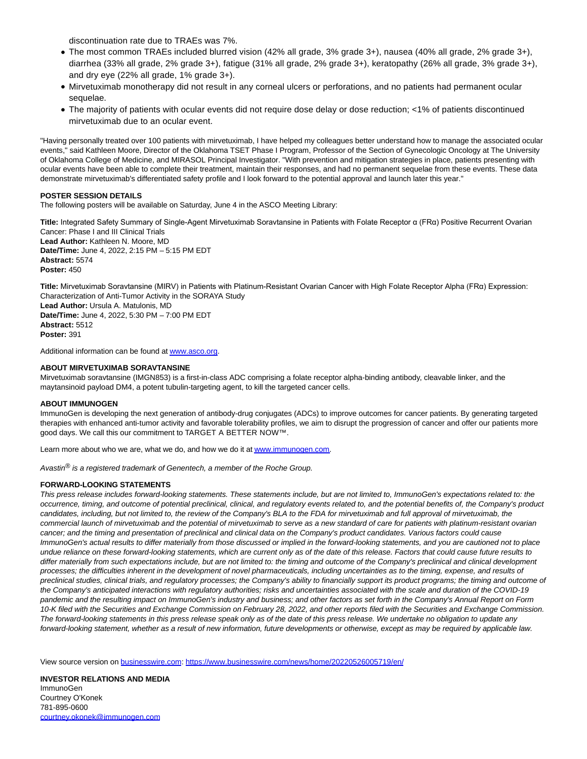discontinuation rate due to TRAEs was 7%.

- The most common TRAEs included blurred vision (42% all grade, 3% grade 3+), nausea (40% all grade, 2% grade 3+), diarrhea (33% all grade, 2% grade 3+), fatigue (31% all grade, 2% grade 3+), keratopathy (26% all grade, 3% grade 3+), and dry eye (22% all grade, 1% grade 3+).
- Mirvetuximab monotherapy did not result in any corneal ulcers or perforations, and no patients had permanent ocular sequelae.
- The majority of patients with ocular events did not require dose delay or dose reduction; <1% of patients discontinued mirvetuximab due to an ocular event.

"Having personally treated over 100 patients with mirvetuximab, I have helped my colleagues better understand how to manage the associated ocular events," said Kathleen Moore, Director of the Oklahoma TSET Phase I Program, Professor of the Section of Gynecologic Oncology at The University of Oklahoma College of Medicine, and MIRASOL Principal Investigator. "With prevention and mitigation strategies in place, patients presenting with ocular events have been able to complete their treatment, maintain their responses, and had no permanent sequelae from these events. These data demonstrate mirvetuximab's differentiated safety profile and I look forward to the potential approval and launch later this year."

#### **POSTER SESSION DETAILS**

The following posters will be available on Saturday, June 4 in the ASCO Meeting Library:

**Title:** Integrated Safety Summary of Single-Agent Mirvetuximab Soravtansine in Patients with Folate Receptor α (FRα) Positive Recurrent Ovarian Cancer: Phase I and III Clinical Trials **Lead Author:** Kathleen N. Moore, MD **Date/Time:** June 4, 2022, 2:15 PM – 5:15 PM EDT **Abstract:** 5574 **Poster:** 450

**Title:** Mirvetuximab Soravtansine (MIRV) in Patients with Platinum-Resistant Ovarian Cancer with High Folate Receptor Alpha (FRα) Expression: Characterization of Anti-Tumor Activity in the SORAYA Study **Lead Author:** Ursula A. Matulonis, MD **Date/Time:** June 4, 2022, 5:30 PM – 7:00 PM EDT **Abstract:** 5512 **Poster:** 391

Additional information can be found a[t www.asco.org.](https://cts.businesswire.com/ct/CT?id=smartlink&url=http%3A%2F%2Fwww.asco.org&esheet=52732249&newsitemid=20220526005719&lan=en-US&anchor=www.asco.org&index=2&md5=059de0aff9807f75838e221838cc7b85)

#### **ABOUT MIRVETUXIMAB SORAVTANSINE**

Mirvetuximab soravtansine (IMGN853) is a first-in-class ADC comprising a folate receptor alpha-binding antibody, cleavable linker, and the maytansinoid payload DM4, a potent tubulin-targeting agent, to kill the targeted cancer cells.

#### **ABOUT IMMUNOGEN**

ImmunoGen is developing the next generation of antibody-drug conjugates (ADCs) to improve outcomes for cancer patients. By generating targeted therapies with enhanced anti-tumor activity and favorable tolerability profiles, we aim to disrupt the progression of cancer and offer our patients more good days. We call this our commitment to TARGET A BETTER NOW™.

Learn more about who we are, what we do, and how we do it at www.jmmunogen.com.

Avastin<sup>®</sup> is a registered trademark of Genentech, a member of the Roche Group.

#### **FORWARD-LOOKING STATEMENTS**

This press release includes forward-looking statements. These statements include, but are not limited to, ImmunoGen's expectations related to: the occurrence, timing, and outcome of potential preclinical, clinical, and regulatory events related to, and the potential benefits of, the Company's product candidates, including, but not limited to, the review of the Company's BLA to the FDA for mirvetuximab and full approval of mirvetuximab, the commercial launch of mirvetuximab and the potential of mirvetuximab to serve as a new standard of care for patients with platinum-resistant ovarian cancer; and the timing and presentation of preclinical and clinical data on the Company's product candidates. Various factors could cause ImmunoGen's actual results to differ materially from those discussed or implied in the forward-looking statements, and you are cautioned not to place undue reliance on these forward-looking statements, which are current only as of the date of this release. Factors that could cause future results to differ materially from such expectations include, but are not limited to: the timing and outcome of the Company's preclinical and clinical development processes; the difficulties inherent in the development of novel pharmaceuticals, including uncertainties as to the timing, expense, and results of preclinical studies, clinical trials, and regulatory processes; the Company's ability to financially support its product programs; the timing and outcome of the Company's anticipated interactions with regulatory authorities; risks and uncertainties associated with the scale and duration of the COVID-19 pandemic and the resulting impact on ImmunoGen's industry and business; and other factors as set forth in the Company's Annual Report on Form 10-K filed with the Securities and Exchange Commission on February 28, 2022, and other reports filed with the Securities and Exchange Commission. The forward-looking statements in this press release speak only as of the date of this press release. We undertake no obligation to update any forward-looking statement, whether as a result of new information, future developments or otherwise, except as may be required by applicable law.

View source version on [businesswire.com:](http://businesswire.com/)<https://www.businesswire.com/news/home/20220526005719/en/>

**INVESTOR RELATIONS AND MEDIA** ImmunoGen Courtney O'Konek 781-895-0600 [courtney.okonek@immunogen.com](mailto:courtney.okonek@immunogen.com)